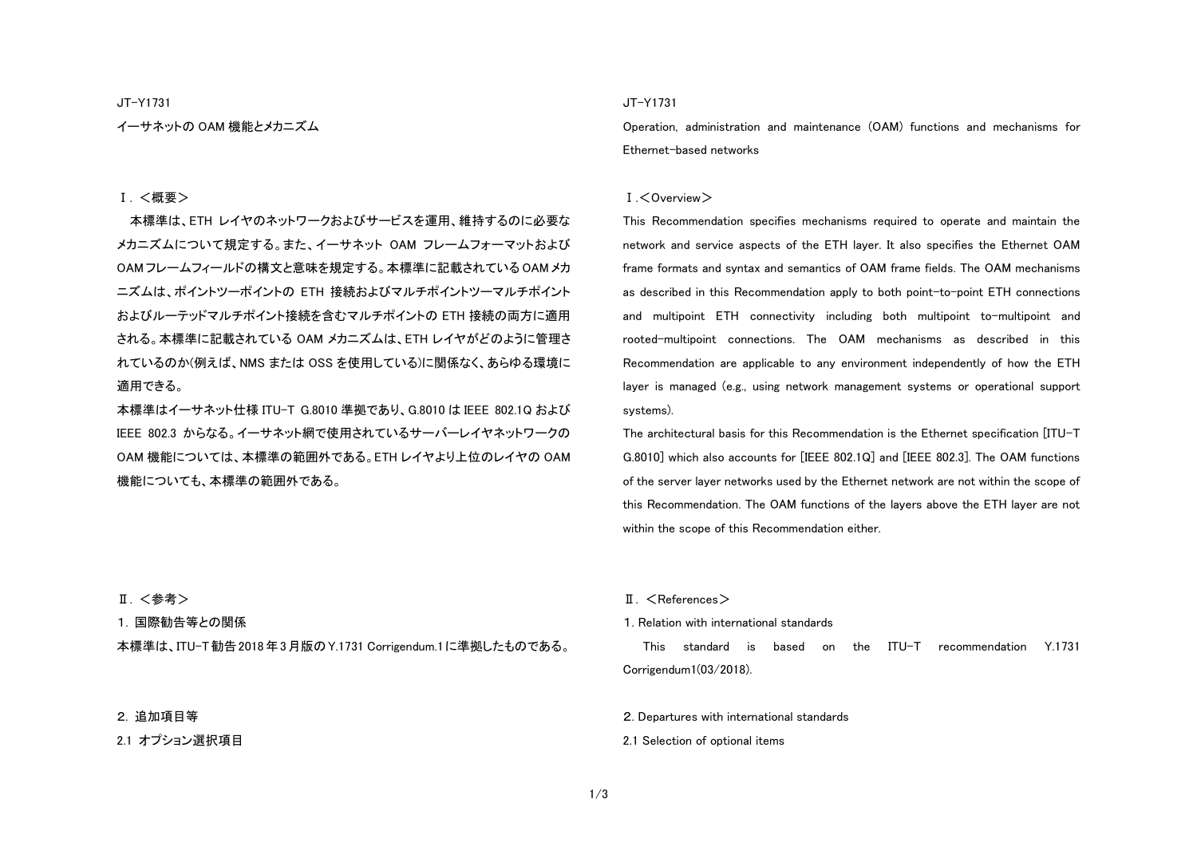JT-Y1731

イーサネットの OAM 機能とメカニズム

#### Ⅰ. <概要>

本標準は、ETH レイヤのネットワークおよびサービスを運用、維持するのに必要な メカニズムについて規定する。また、イーサネット OAM フレームフォーマットおよび OAM フレームフィールドの構文と意味を規定する。本標準に記載されている OAM メカ ニズムは、ポイントツーポイントの ETH 接続およびマルチポイントツーマルチポイント およびルーテッドマルチポイント接続を含むマルチポイントの ETH 接続の両方に適用 される。本標準に記載されている OAM メカニズムは、ETH レイヤがどのように管理さ れているのか(例えば、NMS または OSS を使用している)に関係なく、あらゆる環境に 適用できる。

本標準はイーサネット仕様 ITU-T G.8010 準拠であり、G.8010 は IEEE 802.1Q および IEEE 802.3 からなる。イーサネット網で使用されているサーバーレイヤネットワークの OAM 機能については、本標準の範囲外である。ETH レイヤより上位のレイヤの OAM 機能についても、本標準の範囲外である。

### JT-Y1731

Operation, administration and maintenance (OAM) functions and mechanisms for Ethernet-based networks

#### Ⅰ.<Overview>

This Recommendation specifies mechanisms required to operate and maintain the network and service aspects of the ETH layer. It also specifies the Ethernet OAM frame formats and syntax and semantics of OAM frame fields. The OAM mechanisms as described in this Recommendation apply to both point-to-point ETH connections and multipoint ETH connectivity including both multipoint to-multipoint and rooted-multipoint connections. The OAM mechanisms as described in this Recommendation are applicable to any environment independently of how the ETH layer is managed (e.g., using network management systems or operational support systems).

The architectural basis for this Recommendation is the Ethernet specification [ITU-T G.8010] which also accounts for [IEEE 802.1Q] and [IEEE 802.3]. The OAM functions of the server layer networks used by the Ethernet network are not within the scope of this Recommendation. The OAM functions of the layers above the ETH layer are not within the scope of this Recommendation either.

Ⅱ. <参考>

1. 国際勧告等との関係

本標準は、ITU-T勧告2018年3月版のY.1731 Corrigendum.1に準拠したものである。

### 2. 追加項目等

2.1 オプション選択項目

#### $II. <$ References $>$

#### 1. Relation with international standards

This standard is based on the ITU-T recommendation Y.1731 Corrigendum1(03/2018).

2. Departures with international standards

2.1 Selection of optional items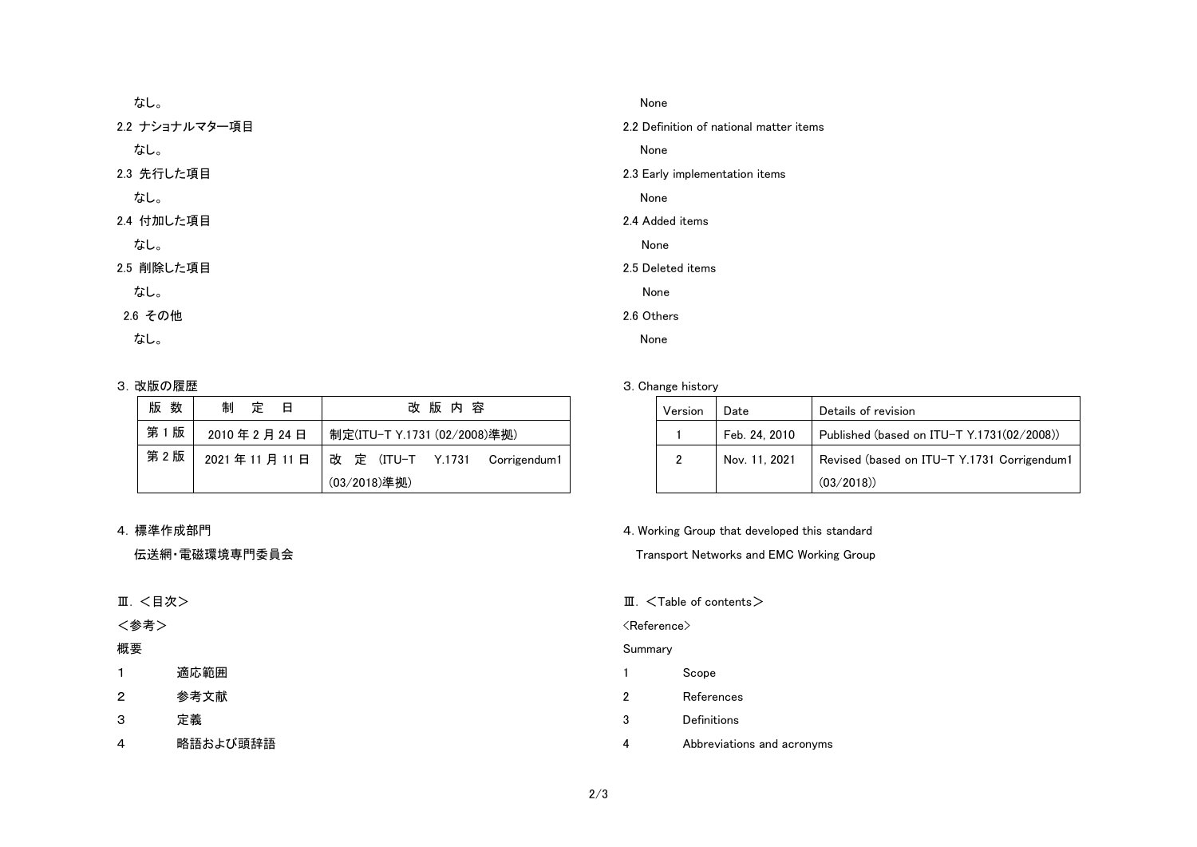| なし。            | None           |
|----------------|----------------|
| 2.2 ナショナルマター項目 | 2.2 Definition |
| なし。            | None           |
| 2.3 先行した項目     | 2.3 Early imp  |
| なし。            | None           |
| 2.4 付加した項目     | 2.4 Added ite  |
| なし。            | None           |
| 2.5 削除した項目     | 2.5 Deleted i  |
| なし。            | None           |
| 2.6 その他        | 2.6 Others     |
| なし。            | None           |

## 3. 改版の履歴

| 版<br>数 | 制<br>いんじょう 定り 日 | 改版内容                                         |  |
|--------|-----------------|----------------------------------------------|--|
| 第1版    | 2010年2月24日      | 制定(ITU-T Y.1731 (02/2008)準拠)                 |  |
| 第 2 版  |                 | 2021年11月11日   改 定 (ITU-T Y.1731 Corrigendum1 |  |
|        |                 | (03/2018)準拠)                                 |  |

## 4. 標準作成部門

# 伝送網・電磁環境専門委員会

Ⅲ. <目次>

# <参考>

# 概要

1 適応範囲

2 参考文献

- 3 定義
- 4 略語および頭辞語

n of national matter items

blementation items

### ems

items

# 3. Change history

| Version | Date          | Details of revision                         |
|---------|---------------|---------------------------------------------|
|         | Feb. 24, 2010 | Published (based on ITU-T Y.1731(02/2008))  |
| 2       | Nov. 11, 2021 | Revised (based on ITU-T Y.1731 Corrigendum1 |
|         |               | (03/2018)                                   |

## 4. Working Group that developed this standard

Transport Networks and EMC Working Group

Ⅲ. <Table of contents>

## <Reference>

## Summary

- 1 Scope
- 2 References
- 3 Definitions
- 4 Abbreviations and acronyms